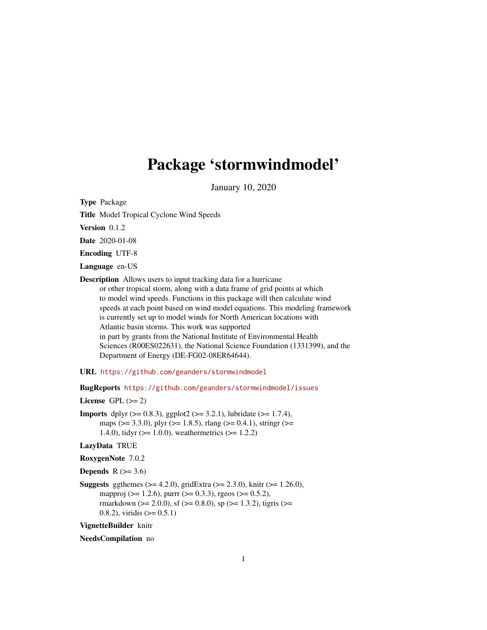## Package 'stormwindmodel'

January 10, 2020

Type Package

Title Model Tropical Cyclone Wind Speeds

Version 0.1.2

Date 2020-01-08

Encoding UTF-8

Language en-US

Description Allows users to input tracking data for a hurricane or other tropical storm, along with a data frame of grid points at which to model wind speeds. Functions in this package will then calculate wind speeds at each point based on wind model equations. This modeling framework is currently set up to model winds for North American locations with Atlantic basin storms. This work was supported in part by grants from the National Institute of Environmental Health Sciences (R00ES022631), the National Science Foundation (1331399), and the Department of Energy (DE-FG02-08ER64644).

URL <https://github.com/geanders/stormwindmodel>

BugReports <https://github.com/geanders/stormwindmodel/issues>

License GPL  $(>= 2)$ 

**Imports** dplyr ( $>= 0.8.3$ ), ggplot2 ( $>= 3.2.1$ ), lubridate ( $>= 1.7.4$ ), maps ( $> = 3.3.0$ ), plyr ( $> = 1.8.5$ ), rlang ( $> = 0.4.1$ ), stringr ( $> =$ 1.4.0), tidyr (>= 1.0.0), weathermetrics (>= 1.2.2)

LazyData TRUE

RoxygenNote 7.0.2

Depends  $R$  ( $>= 3.6$ )

**Suggests** ggthemes ( $>= 4.2.0$ ), gridExtra ( $>= 2.3.0$ ), knitr ( $>= 1.26.0$ ), mapproj (>= 1.2.6), purrr (>= 0.3.3), rgeos (>= 0.5.2), rmarkdown ( $>= 2.0.0$ ), sf ( $>= 0.8.0$ ), sp ( $>= 1.3.2$ ), tigris ( $>=$ 0.8.2), viridis  $(>= 0.5.1)$ 

VignetteBuilder knitr

NeedsCompilation no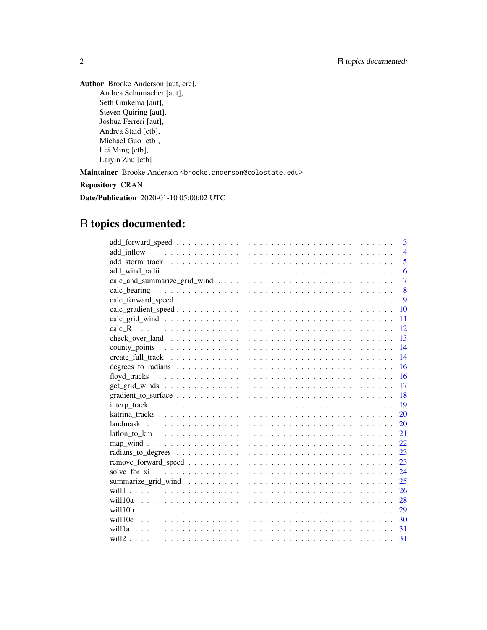Author Brooke Anderson [aut, cre], Andrea Schumacher [aut], Seth Guikema [aut], Steven Quiring [aut], Joshua Ferreri [aut], Andrea Staid [ctb], Michael Guo [ctb], Lei Ming [ctb], Laiyin Zhu [ctb]

Maintainer Brooke Anderson <br />brooke.anderson@colostate.edu>

Repository CRAN

Date/Publication 2020-01-10 05:00:02 UTC

## R topics documented:

| 3              |
|----------------|
| $\overline{4}$ |
| 5              |
| 6              |
| $\overline{7}$ |
| 8              |
| 9              |
| 10             |
| 11             |
| 12             |
| 13             |
| 14             |
| 14             |
| 16             |
| 16             |
| 17             |
| 18             |
| 19             |
| 20             |
| 20             |
| 21             |
| 22             |
| 23             |
| 23             |
| 24             |
| 25             |
| 26             |
| 28             |
| 29             |
| $-30$          |
| 31             |
| 31             |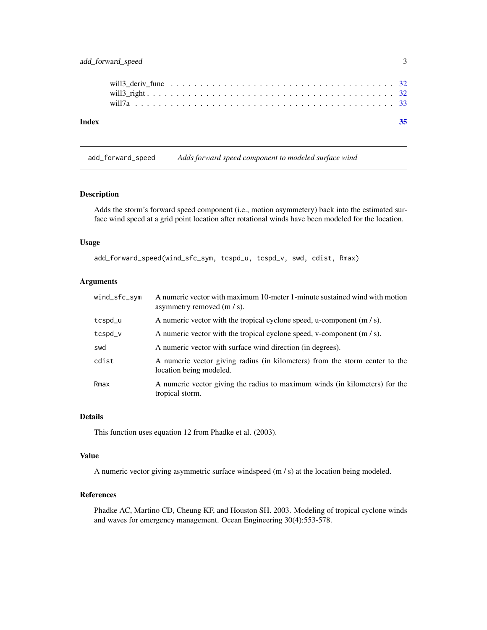## <span id="page-2-0"></span>add\_forward\_speed 3

add\_forward\_speed *Adds forward speed component to modeled surface wind*

#### Description

Adds the storm's forward speed component (i.e., motion asymmetery) back into the estimated surface wind speed at a grid point location after rotational winds have been modeled for the location.

## Usage

```
add_forward_speed(wind_sfc_sym, tcspd_u, tcspd_v, swd, cdist, Rmax)
```
## Arguments

| wind_sfc_sym | A numeric vector with maximum 10-meter 1-minute sustained wind with motion<br>asymmetry removed $(m / s)$ . |
|--------------|-------------------------------------------------------------------------------------------------------------|
| tcspd_u      | A numeric vector with the tropical cyclone speed, u-component $(m / s)$ .                                   |
| tcspd_v      | A numeric vector with the tropical cyclone speed, v-component $(m / s)$ .                                   |
| swd          | A numeric vector with surface wind direction (in degrees).                                                  |
| cdist        | A numeric vector giving radius (in kilometers) from the storm center to the<br>location being modeled.      |
| Rmax         | A numeric vector giving the radius to maximum winds (in kilometers) for the<br>tropical storm.              |

#### Details

This function uses equation 12 from Phadke et al. (2003).

## Value

A numeric vector giving asymmetric surface windspeed (m / s) at the location being modeled.

## References

Phadke AC, Martino CD, Cheung KF, and Houston SH. 2003. Modeling of tropical cyclone winds and waves for emergency management. Ocean Engineering 30(4):553-578.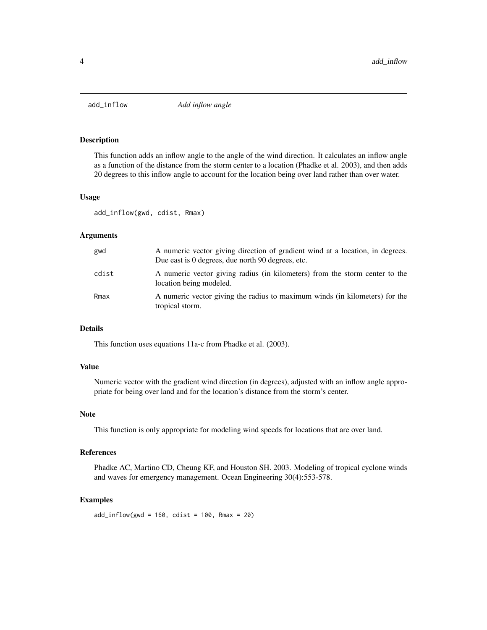<span id="page-3-0"></span>

This function adds an inflow angle to the angle of the wind direction. It calculates an inflow angle as a function of the distance from the storm center to a location (Phadke et al. 2003), and then adds 20 degrees to this inflow angle to account for the location being over land rather than over water.

#### Usage

add\_inflow(gwd, cdist, Rmax)

## Arguments

| gwd   | A numeric vector giving direction of gradient wind at a location, in degrees.<br>Due east is 0 degrees, due north 90 degrees, etc. |
|-------|------------------------------------------------------------------------------------------------------------------------------------|
| cdist | A numeric vector giving radius (in kilometers) from the storm center to the<br>location being modeled.                             |
| Rmax  | A numeric vector giving the radius to maximum winds (in kilometers) for the<br>tropical storm.                                     |

## Details

This function uses equations 11a-c from Phadke et al. (2003).

#### Value

Numeric vector with the gradient wind direction (in degrees), adjusted with an inflow angle appropriate for being over land and for the location's distance from the storm's center.

#### Note

This function is only appropriate for modeling wind speeds for locations that are over land.

## References

Phadke AC, Martino CD, Cheung KF, and Houston SH. 2003. Modeling of tropical cyclone winds and waves for emergency management. Ocean Engineering 30(4):553-578.

#### Examples

 $add\_inflow(gwd = 160, cdist = 100, Rmax = 20)$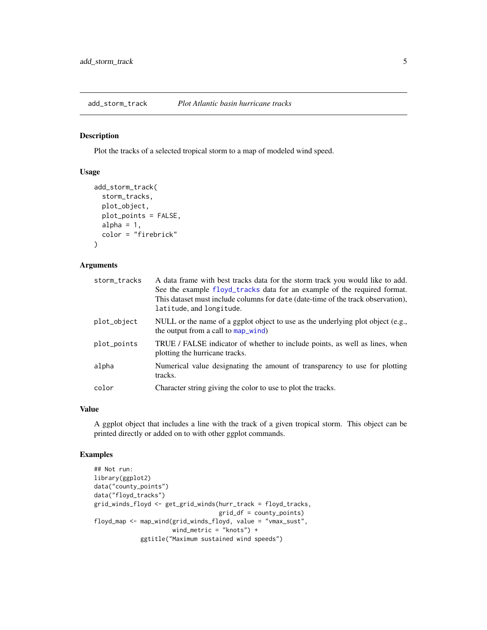<span id="page-4-0"></span>add\_storm\_track *Plot Atlantic basin hurricane tracks*

## Description

Plot the tracks of a selected tropical storm to a map of modeled wind speed.

## Usage

```
add_storm_track(
  storm_tracks,
 plot_object,
 plot_points = FALSE,
 alpha = 1,
  color = "firebrick"
)
```
## Arguments

| storm_tracks | A data frame with best tracks data for the storm track you would like to add.<br>See the example floyd_tracks data for an example of the required format.<br>This dataset must include columns for date (date-time of the track observation),<br>latitude, and longitude. |
|--------------|---------------------------------------------------------------------------------------------------------------------------------------------------------------------------------------------------------------------------------------------------------------------------|
| plot_object  | NULL or the name of a ggplot object to use as the underlying plot object (e.g.,<br>the output from a call to map_wind)                                                                                                                                                    |
| plot_points  | TRUE / FALSE indicator of whether to include points, as well as lines, when<br>plotting the hurricane tracks.                                                                                                                                                             |
| alpha        | Numerical value designating the amount of transparency to use for plotting<br>tracks.                                                                                                                                                                                     |
| color        | Character string giving the color to use to plot the tracks.                                                                                                                                                                                                              |

## Value

A ggplot object that includes a line with the track of a given tropical storm. This object can be printed directly or added on to with other ggplot commands.

## Examples

```
## Not run:
library(ggplot2)
data("county_points")
data("floyd_tracks")
grid_winds_floyd <- get_grid_winds(hurr_track = floyd_tracks,
                                   grid_df = county_points)
floyd_map <- map_wind(grid_winds_floyd, value = "vmax_sust",
                      wind_metric = "knots") +
             ggtitle("Maximum sustained wind speeds")
```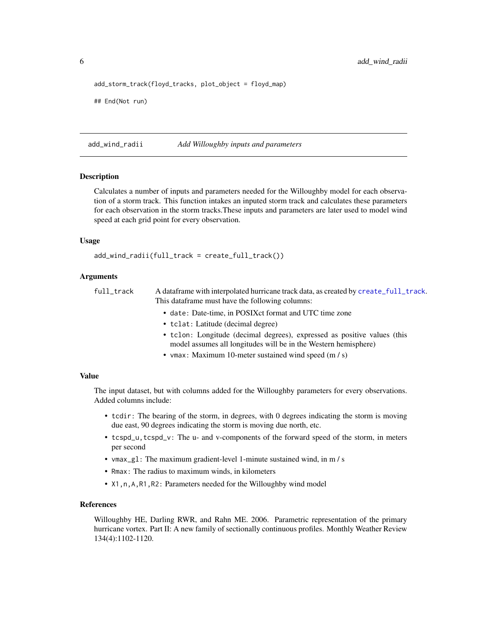<span id="page-5-0"></span>6 add\_wind\_radii

```
add_storm_track(floyd_tracks, plot_object = floyd_map)
## End(Not run)
```
<span id="page-5-1"></span>add\_wind\_radii *Add Willoughby inputs and parameters*

#### **Description**

Calculates a number of inputs and parameters needed for the Willoughby model for each observation of a storm track. This function intakes an inputed storm track and calculates these parameters for each observation in the storm tracks.These inputs and parameters are later used to model wind speed at each grid point for every observation.

#### Usage

add\_wind\_radii(full\_track = create\_full\_track())

## Arguments

full\_track A dataframe with interpolated hurricane track data, as created by [create\\_full\\_track](#page-13-1). This dataframe must have the following columns:

- date: Date-time, in POSIXct format and UTC time zone
- tclat: Latitude (decimal degree)
- tclon: Longitude (decimal degrees), expressed as positive values (this model assumes all longitudes will be in the Western hemisphere)
- vmax: Maximum 10-meter sustained wind speed (m / s)

## Value

The input dataset, but with columns added for the Willoughby parameters for every observations. Added columns include:

- tcdir: The bearing of the storm, in degrees, with 0 degrees indicating the storm is moving due east, 90 degrees indicating the storm is moving due north, etc.
- tcspd\_u,tcspd\_v: The u- and v-components of the forward speed of the storm, in meters per second
- vmax\_gl: The maximum gradient-level 1-minute sustained wind, in m / s
- Rmax: The radius to maximum winds, in kilometers
- X1,n,A,R1,R2: Parameters needed for the Willoughby wind model

## References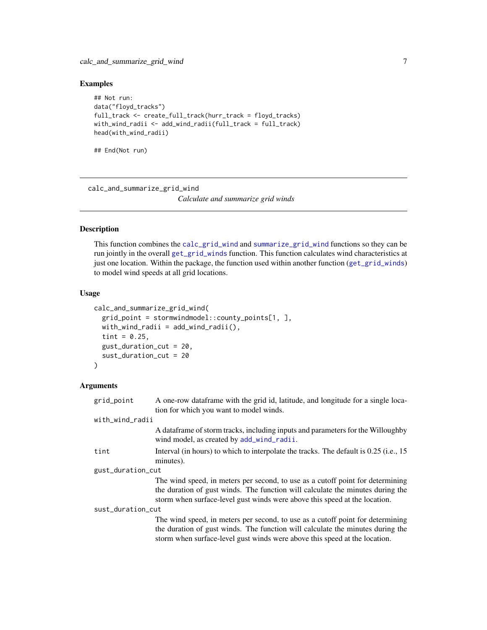## <span id="page-6-0"></span>Examples

```
## Not run:
data("floyd_tracks")
full_track <- create_full_track(hurr_track = floyd_tracks)
with_wind_radii <- add_wind_radii(full_track = full_track)
head(with_wind_radii)
```
## End(Not run)

calc\_and\_summarize\_grid\_wind

*Calculate and summarize grid winds*

#### Description

This function combines the [calc\\_grid\\_wind](#page-10-1) and [summarize\\_grid\\_wind](#page-24-1) functions so they can be run jointly in the overall [get\\_grid\\_winds](#page-16-1) function. This function calculates wind characteristics at just one location. Within the package, the function used within another function ([get\\_grid\\_winds](#page-16-1)) to model wind speeds at all grid locations.

## Usage

```
calc_and_summarize_grid_wind(
  grid_point = stormwindmodel::county_points[1, ],
  with_wind_radii = add\_wind\_radii(),
  tint = 0.25,
  gust_duration_cut = 20,
  sust_duration_cut = 20
\lambda
```
#### Arguments

| grid_point        | A one-row dataframe with the grid id, latitude, and longitude for a single loca-<br>tion for which you want to model winds.                                                                                                                    |
|-------------------|------------------------------------------------------------------------------------------------------------------------------------------------------------------------------------------------------------------------------------------------|
| with_wind_radii   |                                                                                                                                                                                                                                                |
|                   | A data frame of storm tracks, including inputs and parameters for the Willoughby<br>wind model, as created by add_wind_radii.                                                                                                                  |
| tint              | Interval (in hours) to which to interpolate the tracks. The default is 0.25 (i.e., 15<br>minutes).                                                                                                                                             |
| gust_duration_cut |                                                                                                                                                                                                                                                |
|                   | The wind speed, in meters per second, to use as a cutoff point for determining<br>the duration of gust winds. The function will calculate the minutes during the<br>storm when surface-level gust winds were above this speed at the location. |
| sust_duration_cut |                                                                                                                                                                                                                                                |
|                   | The wind speed, in meters per second, to use as a cutoff point for determining<br>the duration of gust winds. The function will calculate the minutes during the<br>storm when surface-level gust winds were above this speed at the location. |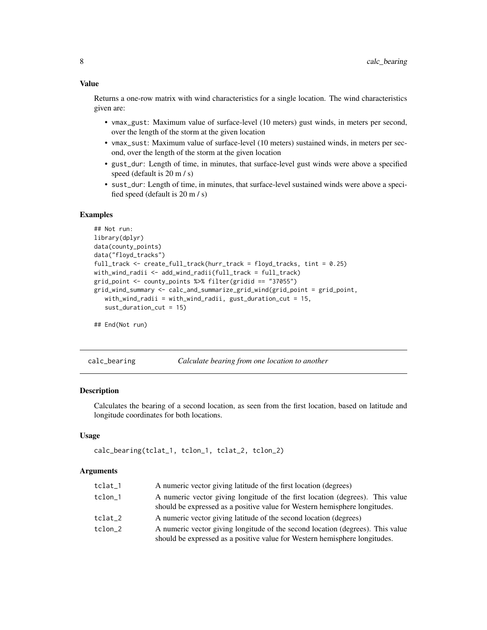<span id="page-7-0"></span>Returns a one-row matrix with wind characteristics for a single location. The wind characteristics given are:

- vmax\_gust: Maximum value of surface-level (10 meters) gust winds, in meters per second, over the length of the storm at the given location
- vmax\_sust: Maximum value of surface-level (10 meters) sustained winds, in meters per second, over the length of the storm at the given location
- gust\_dur: Length of time, in minutes, that surface-level gust winds were above a specified speed (default is 20 m / s)
- sust\_dur: Length of time, in minutes, that surface-level sustained winds were above a specified speed (default is 20 m / s)

## Examples

```
## Not run:
library(dplyr)
data(county_points)
data("floyd_tracks")
full_track <- create_full_track(hurr_track = floyd_tracks, tint = 0.25)
with_wind_radii <- add_wind_radii(full_track = full_track)
grid_point <- county_points %>% filter(gridid == "37055")
grid_wind_summary <- calc_and_summarize_grid_wind(grid_point = grid_point,
   with_wind_radii = with_wind_radii, gust_duration_cut = 15,
   sust_duration_cut = 15)
```
## End(Not run)

calc\_bearing *Calculate bearing from one location to another*

#### **Description**

Calculates the bearing of a second location, as seen from the first location, based on latitude and longitude coordinates for both locations.

#### Usage

```
calc_bearing(tclat_1, tclon_1, tclat_2, tclon_2)
```
#### Arguments

| tclat_1 | A numeric vector giving latitude of the first location (degrees)                                                                                             |
|---------|--------------------------------------------------------------------------------------------------------------------------------------------------------------|
| tclon 1 | A numeric vector giving longitude of the first location (degrees). This value<br>should be expressed as a positive value for Western hemisphere longitudes.  |
| tclat 2 | A numeric vector giving latitude of the second location (degrees)                                                                                            |
| tclon 2 | A numeric vector giving longitude of the second location (degrees). This value<br>should be expressed as a positive value for Western hemisphere longitudes. |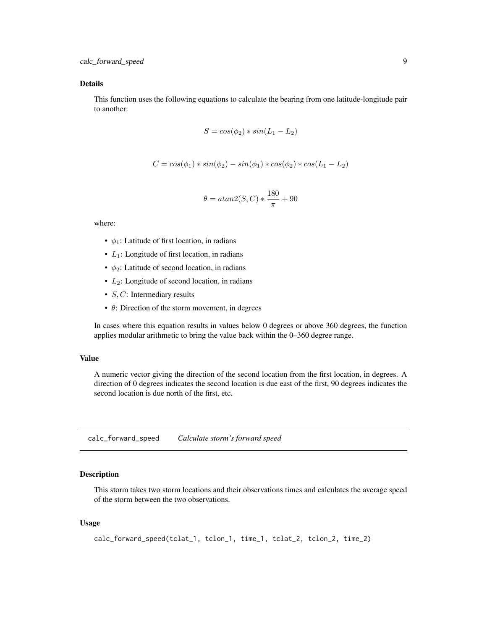## <span id="page-8-0"></span>Details

This function uses the following equations to calculate the bearing from one latitude-longitude pair to another:

$$
S = \cos(\phi_2) * \sin(L_1 - L_2)
$$

$$
C = cos(\phi_1) * sin(\phi_2) - sin(\phi_1) * cos(\phi_2) * cos(L_1 - L_2)
$$

$$
\theta = \operatorname{atan2}(S, C) * \frac{180}{\pi} + 90
$$

where:

- $\phi_1$ : Latitude of first location, in radians
- $L_1$ : Longitude of first location, in radians
- $\phi_2$ : Latitude of second location, in radians
- $\bullet$   $L_2$ : Longitude of second location, in radians
- $S, C$ : Intermediary results
- $\bullet$   $\theta$ : Direction of the storm movement, in degrees

In cases where this equation results in values below 0 degrees or above 360 degrees, the function applies modular arithmetic to bring the value back within the 0–360 degree range.

## Value

A numeric vector giving the direction of the second location from the first location, in degrees. A direction of 0 degrees indicates the second location is due east of the first, 90 degrees indicates the second location is due north of the first, etc.

calc\_forward\_speed *Calculate storm's forward speed*

#### Description

This storm takes two storm locations and their observations times and calculates the average speed of the storm between the two observations.

#### Usage

```
calc_forward_speed(tclat_1, tclon_1, time_1, tclat_2, tclon_2, time_2)
```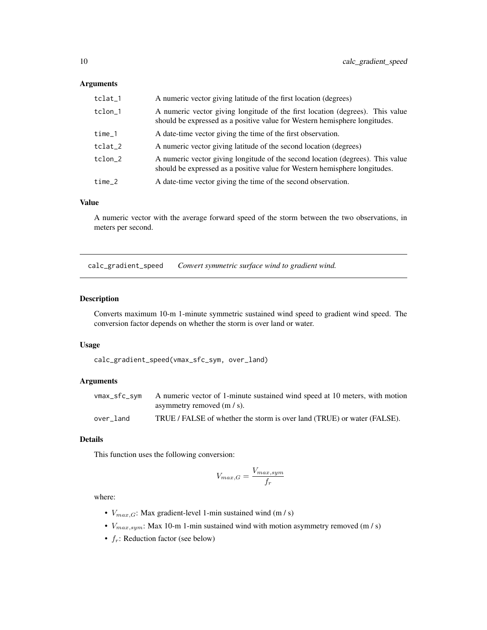#### <span id="page-9-0"></span>Arguments

| tclat_1 | A numeric vector giving latitude of the first location (degrees)                                                                                             |
|---------|--------------------------------------------------------------------------------------------------------------------------------------------------------------|
| tclon_1 | A numeric vector giving longitude of the first location (degrees). This value<br>should be expressed as a positive value for Western hemisphere longitudes.  |
| time_1  | A date-time vector giving the time of the first observation.                                                                                                 |
| tclat_2 | A numeric vector giving latitude of the second location (degrees)                                                                                            |
| tclon_2 | A numeric vector giving longitude of the second location (degrees). This value<br>should be expressed as a positive value for Western hemisphere longitudes. |
| time 2  | A date-time vector giving the time of the second observation.                                                                                                |

## Value

A numeric vector with the average forward speed of the storm between the two observations, in meters per second.

calc\_gradient\_speed *Convert symmetric surface wind to gradient wind.*

#### Description

Converts maximum 10-m 1-minute symmetric sustained wind speed to gradient wind speed. The conversion factor depends on whether the storm is over land or water.

## Usage

calc\_gradient\_speed(vmax\_sfc\_sym, over\_land)

## Arguments

| vmax_sfc_sym | A numeric vector of 1-minute sustained wind speed at 10 meters, with motion |
|--------------|-----------------------------------------------------------------------------|
|              | asymmetry removed $(m / s)$ .                                               |
| over land    | TRUE / FALSE of whether the storm is over land (TRUE) or water (FALSE).     |

## Details

This function uses the following conversion:

$$
V_{max,G} = \frac{V_{max,sym}}{f_r}
$$

where:

- $V_{max,G}$ : Max gradient-level 1-min sustained wind (m / s)
- $V_{max,sym}$ : Max 10-m 1-min sustained wind with motion asymmetry removed (m / s)
- $f_r$ : Reduction factor (see below)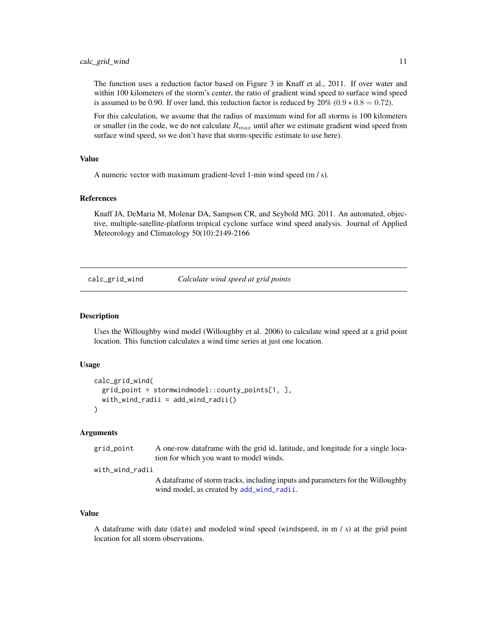<span id="page-10-0"></span>The function uses a reduction factor based on Figure 3 in Knaff et al., 2011. If over water and within 100 kilometers of the storm's center, the ratio of gradient wind speed to surface wind speed is assumed to be 0.90. If over land, this reduction factor is reduced by  $20\%$  (0.9  $*$  0.8 = 0.72).

For this calculation, we assume that the radius of maximum wind for all storms is 100 kilometers or smaller (in the code, we do not calculate  $R_{max}$  until after we estimate gradient wind speed from surface wind speed, so we don't have that storm-specific estimate to use here).

#### Value

A numeric vector with maximum gradient-level 1-min wind speed (m / s).

#### References

Knaff JA, DeMaria M, Molenar DA, Sampson CR, and Seybold MG. 2011. An automated, objective, multiple-satellite-platform tropical cyclone surface wind speed analysis. Journal of Applied Meteorology and Climatology 50(10):2149-2166

<span id="page-10-1"></span>calc\_grid\_wind *Calculate wind speed at grid points*

#### Description

Uses the Willoughby wind model (Willoughby et al. 2006) to calculate wind speed at a grid point location. This function calculates a wind time series at just one location.

#### Usage

```
calc_grid_wind(
  grid_point = stormwindmodel::county_points[1, ],
  with_wind_radii = add\_wind\_radii())
```
## Arguments

| grid_point | A one-row dataframe with the grid id, latitude, and longitude for a single loca- |
|------------|----------------------------------------------------------------------------------|
|            | tion for which you want to model winds.                                          |

with\_wind\_radii

A dataframe of storm tracks, including inputs and parameters for the Willoughby wind model, as created by [add\\_wind\\_radii](#page-5-1).

#### Value

A dataframe with date (date) and modeled wind speed (windspeed, in m / s) at the grid point location for all storm observations.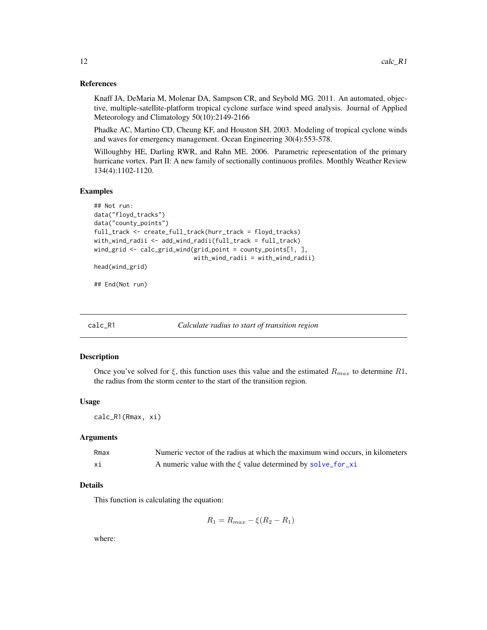#### <span id="page-11-0"></span>References

Knaff JA, DeMaria M, Molenar DA, Sampson CR, and Seybold MG. 2011. An automated, objective, multiple-satellite-platform tropical cyclone surface wind speed analysis. Journal of Applied Meteorology and Climatology 50(10):2149-2166

Phadke AC, Martino CD, Cheung KF, and Houston SH. 2003. Modeling of tropical cyclone winds and waves for emergency management. Ocean Engineering 30(4):553-578.

Willoughby HE, Darling RWR, and Rahn ME. 2006. Parametric representation of the primary hurricane vortex. Part II: A new family of sectionally continuous profiles. Monthly Weather Review 134(4):1102-1120.

#### Examples

```
## Not run:
data("floyd_tracks")
data("county_points")
full_track <- create_full_track(hurr_track = floyd_tracks)
with_wind_radii <- add_wind_radii(full_track = full_track)
wind_grid <- calc_grid_wind(grid_point = county_points[1, ],
                            with_wind_radii = with_wind_radii)
head(wind_grid)
```
## End(Not run)

calc\_R1 *Calculate radius to start of transition region*

#### Description

Once you've solved for  $\xi$ , this function uses this value and the estimated  $R_{max}$  to determine R1, the radius from the storm center to the start of the transition region.

#### Usage

calc\_R1(Rmax, xi)

#### Arguments

| Rmax | Numeric vector of the radius at which the maximum wind occurs, in kilometers |
|------|------------------------------------------------------------------------------|
| хi   | A numeric value with the $\xi$ value determined by solve_for_xi              |

#### Details

This function is calculating the equation:

$$
R_1 = R_{max} - \xi(R_2 - R_1)
$$

where: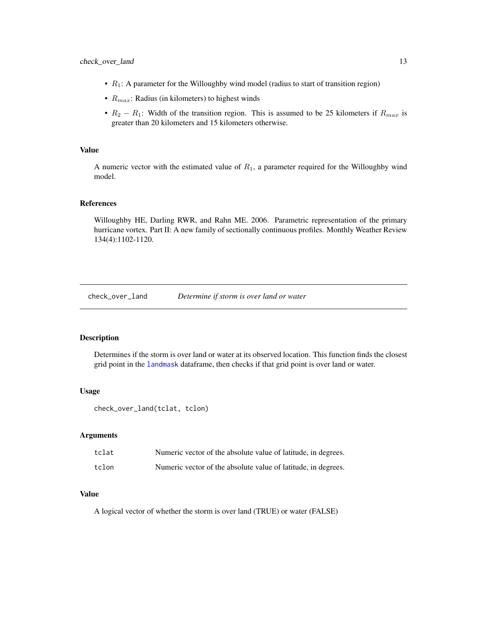- <span id="page-12-0"></span>•  $R_1$ : A parameter for the Willoughby wind model (radius to start of transition region)
- $R_{max}$ : Radius (in kilometers) to highest winds
- $R_2 R_1$ : Width of the transition region. This is assumed to be 25 kilometers if  $R_{max}$  is greater than 20 kilometers and 15 kilometers otherwise.

## Value

A numeric vector with the estimated value of  $R_1$ , a parameter required for the Willoughby wind model.

#### References

Willoughby HE, Darling RWR, and Rahn ME. 2006. Parametric representation of the primary hurricane vortex. Part II: A new family of sectionally continuous profiles. Monthly Weather Review 134(4):1102-1120.

check\_over\_land *Determine if storm is over land or water*

#### Description

Determines if the storm is over land or water at its observed location. This function finds the closest grid point in the [landmask](#page-19-1) dataframe, then checks if that grid point is over land or water.

#### Usage

check\_over\_land(tclat, tclon)

#### Arguments

| tclat | Numeric vector of the absolute value of latitude, in degrees. |
|-------|---------------------------------------------------------------|
| tclon | Numeric vector of the absolute value of latitude, in degrees. |

## Value

A logical vector of whether the storm is over land (TRUE) or water (FALSE)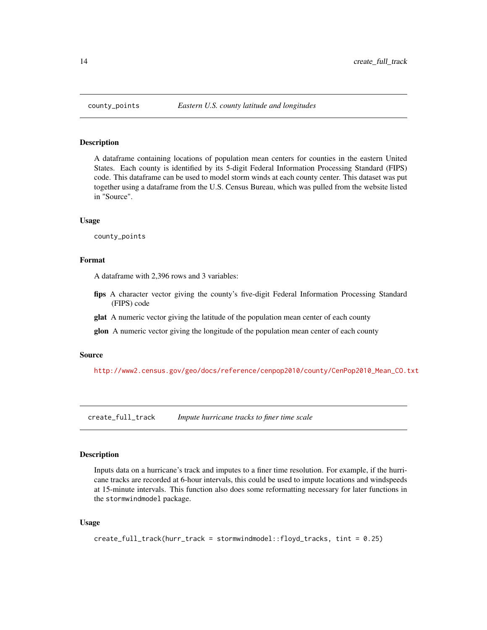<span id="page-13-0"></span>

A dataframe containing locations of population mean centers for counties in the eastern United States. Each county is identified by its 5-digit Federal Information Processing Standard (FIPS) code. This dataframe can be used to model storm winds at each county center. This dataset was put together using a dataframe from the U.S. Census Bureau, which was pulled from the website listed in "Source".

#### Usage

county\_points

#### Format

A dataframe with 2,396 rows and 3 variables:

- fips A character vector giving the county's five-digit Federal Information Processing Standard (FIPS) code
- glat A numeric vector giving the latitude of the population mean center of each county
- **glon** A numeric vector giving the longitude of the population mean center of each county

#### Source

[http://www2.census.gov/geo/docs/reference/cenpop2010/county/CenPop2010\\_Mean\\_CO.txt](http://www2.census.gov/geo/docs/reference/cenpop2010/county/CenPop2010_Mean_CO.txt)

<span id="page-13-1"></span>create\_full\_track *Impute hurricane tracks to finer time scale*

## Description

Inputs data on a hurricane's track and imputes to a finer time resolution. For example, if the hurricane tracks are recorded at 6-hour intervals, this could be used to impute locations and windspeeds at 15-minute intervals. This function also does some reformatting necessary for later functions in the stormwindmodel package.

#### Usage

```
create_full_track(hurr_track = stormwindmodel::floyd_tracks, tint = 0.25)
```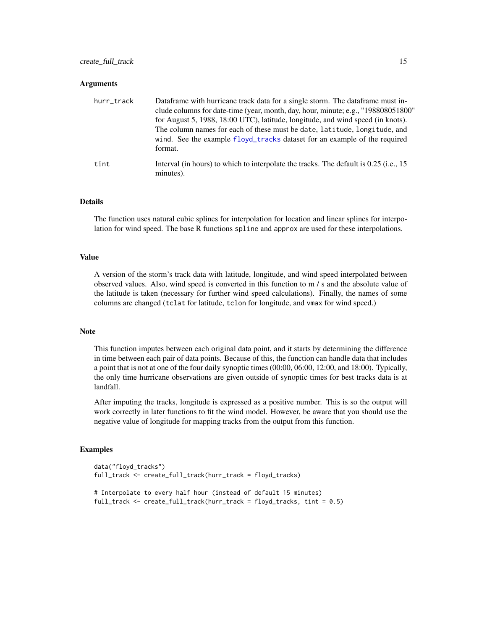#### <span id="page-14-0"></span>**Arguments**

| hurr_track | Dataframe with hurricane track data for a single storm. The dataframe must in-<br>clude columns for date-time (year, month, day, hour, minute; e.g., "198808051800"<br>for August 5, 1988, 18:00 UTC), latitude, longitude, and wind speed (in knots).<br>The column names for each of these must be date, latitude, longitude, and<br>wind. See the example floyd_tracks dataset for an example of the required<br>format. |
|------------|-----------------------------------------------------------------------------------------------------------------------------------------------------------------------------------------------------------------------------------------------------------------------------------------------------------------------------------------------------------------------------------------------------------------------------|
| tint       | Interval (in hours) to which to interpolate the tracks. The default is 0.25 (i.e., 15<br>minutes).                                                                                                                                                                                                                                                                                                                          |

## Details

The function uses natural cubic splines for interpolation for location and linear splines for interpolation for wind speed. The base R functions spline and approx are used for these interpolations.

## Value

A version of the storm's track data with latitude, longitude, and wind speed interpolated between observed values. Also, wind speed is converted in this function to m / s and the absolute value of the latitude is taken (necessary for further wind speed calculations). Finally, the names of some columns are changed (tclat for latitude, tclon for longitude, and vmax for wind speed.)

#### Note

This function imputes between each original data point, and it starts by determining the difference in time between each pair of data points. Because of this, the function can handle data that includes a point that is not at one of the four daily synoptic times (00:00, 06:00, 12:00, and 18:00). Typically, the only time hurricane observations are given outside of synoptic times for best tracks data is at landfall.

After imputing the tracks, longitude is expressed as a positive number. This is so the output will work correctly in later functions to fit the wind model. However, be aware that you should use the negative value of longitude for mapping tracks from the output from this function.

#### Examples

```
data("floyd_tracks")
full_track <- create_full_track(hurr_track = floyd_tracks)
# Interpolate to every half hour (instead of default 15 minutes)
full_track <- create_full_track(hurr_track = floyd_tracks, tint = 0.5)
```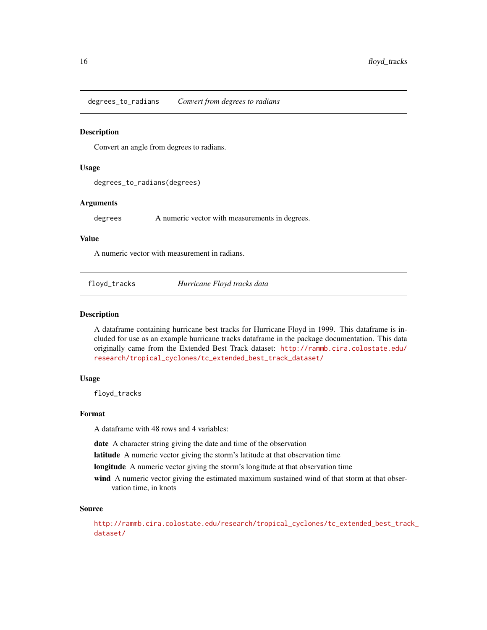<span id="page-15-0"></span>degrees\_to\_radians *Convert from degrees to radians*

#### **Description**

Convert an angle from degrees to radians.

#### Usage

degrees\_to\_radians(degrees)

## Arguments

degrees A numeric vector with measurements in degrees.

#### Value

A numeric vector with measurement in radians.

<span id="page-15-1"></span>floyd\_tracks *Hurricane Floyd tracks data*

## Description

A dataframe containing hurricane best tracks for Hurricane Floyd in 1999. This dataframe is included for use as an example hurricane tracks dataframe in the package documentation. This data originally came from the Extended Best Track dataset: [http://rammb.cira.colostate.edu/](http://rammb.cira.colostate.edu/research/tropical_cyclones/tc_extended_best_track_dataset/) [research/tropical\\_cyclones/tc\\_extended\\_best\\_track\\_dataset/](http://rammb.cira.colostate.edu/research/tropical_cyclones/tc_extended_best_track_dataset/)

#### Usage

floyd\_tracks

#### Format

A dataframe with 48 rows and 4 variables:

date A character string giving the date and time of the observation

latitude A numeric vector giving the storm's latitude at that observation time

longitude A numeric vector giving the storm's longitude at that observation time

wind A numeric vector giving the estimated maximum sustained wind of that storm at that observation time, in knots

## Source

[http://rammb.cira.colostate.edu/research/tropical\\_cyclones/tc\\_extended\\_best\\_trac](http://rammb.cira.colostate.edu/research/tropical_cyclones/tc_extended_best_track_dataset/)k\_ [dataset/](http://rammb.cira.colostate.edu/research/tropical_cyclones/tc_extended_best_track_dataset/)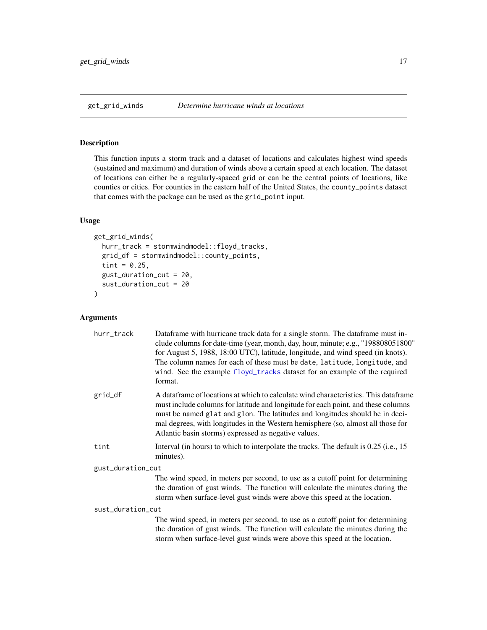<span id="page-16-1"></span><span id="page-16-0"></span>This function inputs a storm track and a dataset of locations and calculates highest wind speeds (sustained and maximum) and duration of winds above a certain speed at each location. The dataset of locations can either be a regularly-spaced grid or can be the central points of locations, like counties or cities. For counties in the eastern half of the United States, the county\_points dataset that comes with the package can be used as the grid\_point input.

## Usage

```
get_grid_winds(
  hurr_track = stormwindmodel::floyd_tracks,
  grid_df = stormwindmodel::county_points,
  tint = 0.25,
  gust_duration_cut = 20,
  sust_duration_cut = 20
)
```
## Arguments

| hurr_track        | Dataframe with hurricane track data for a single storm. The dataframe must in-<br>clude columns for date-time (year, month, day, hour, minute; e.g., "198808051800"<br>for August 5, 1988, 18:00 UTC), latitude, longitude, and wind speed (in knots).<br>The column names for each of these must be date, latitude, longitude, and<br>wind. See the example floyd_tracks dataset for an example of the required<br>format. |  |
|-------------------|-----------------------------------------------------------------------------------------------------------------------------------------------------------------------------------------------------------------------------------------------------------------------------------------------------------------------------------------------------------------------------------------------------------------------------|--|
| grid_df           | A data frame of locations at which to calculate wind characteristics. This data frame<br>must include columns for latitude and longitude for each point, and these columns<br>must be named glat and glon. The latitudes and longitudes should be in deci-<br>mal degrees, with longitudes in the Western hemisphere (so, almost all those for<br>Atlantic basin storms) expressed as negative values.                      |  |
| tint              | Interval (in hours) to which to interpolate the tracks. The default is 0.25 (i.e., 15<br>minutes).                                                                                                                                                                                                                                                                                                                          |  |
| gust_duration_cut |                                                                                                                                                                                                                                                                                                                                                                                                                             |  |
|                   | The wind speed, in meters per second, to use as a cutoff point for determining<br>the duration of gust winds. The function will calculate the minutes during the<br>storm when surface-level gust winds were above this speed at the location.                                                                                                                                                                              |  |
| sust_duration_cut |                                                                                                                                                                                                                                                                                                                                                                                                                             |  |
|                   | The wind speed, in meters per second, to use as a cutoff point for determining<br>the duration of gust winds. The function will calculate the minutes during the<br>storm when surface-level gust winds were above this speed at the location.                                                                                                                                                                              |  |
|                   |                                                                                                                                                                                                                                                                                                                                                                                                                             |  |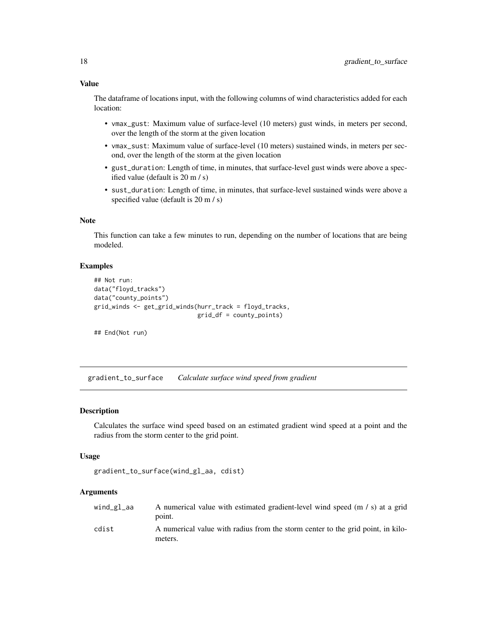<span id="page-17-0"></span>The dataframe of locations input, with the following columns of wind characteristics added for each location:

- vmax\_gust: Maximum value of surface-level (10 meters) gust winds, in meters per second, over the length of the storm at the given location
- vmax\_sust: Maximum value of surface-level (10 meters) sustained winds, in meters per second, over the length of the storm at the given location
- gust\_duration: Length of time, in minutes, that surface-level gust winds were above a specified value (default is 20 m / s)
- sust\_duration: Length of time, in minutes, that surface-level sustained winds were above a specified value (default is 20 m / s)

#### Note

This function can take a few minutes to run, depending on the number of locations that are being modeled.

#### Examples

```
## Not run:
data("floyd_tracks")
data("county_points")
grid_winds <- get_grid_winds(hurr_track = floyd_tracks,
                             grid_df = county_points)
```
## End(Not run)

gradient\_to\_surface *Calculate surface wind speed from gradient*

#### Description

Calculates the surface wind speed based on an estimated gradient wind speed at a point and the radius from the storm center to the grid point.

#### Usage

```
gradient_to_surface(wind_gl_aa, cdist)
```
#### Arguments

| wind_gl_aa | A numerical value with estimated gradient-level wind speed (m / s) at a grid<br>point.     |
|------------|--------------------------------------------------------------------------------------------|
| cdist      | A numerical value with radius from the storm center to the grid point, in kilo-<br>meters. |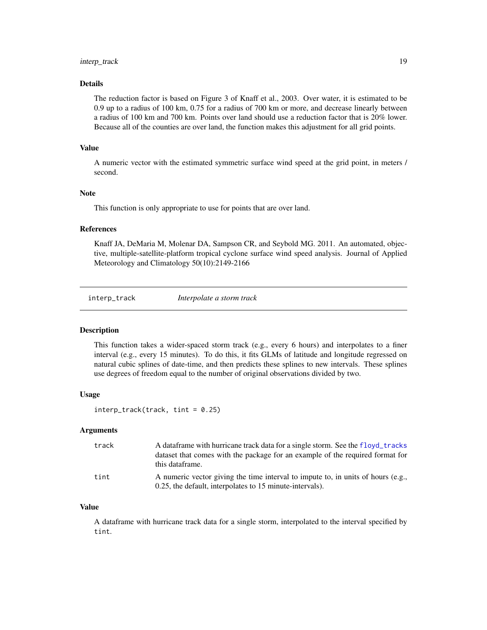## <span id="page-18-0"></span>interp\_track 19

## Details

The reduction factor is based on Figure 3 of Knaff et al., 2003. Over water, it is estimated to be 0.9 up to a radius of 100 km, 0.75 for a radius of 700 km or more, and decrease linearly between a radius of 100 km and 700 km. Points over land should use a reduction factor that is 20% lower. Because all of the counties are over land, the function makes this adjustment for all grid points.

#### Value

A numeric vector with the estimated symmetric surface wind speed at the grid point, in meters / second.

#### Note

This function is only appropriate to use for points that are over land.

#### References

Knaff JA, DeMaria M, Molenar DA, Sampson CR, and Seybold MG. 2011. An automated, objective, multiple-satellite-platform tropical cyclone surface wind speed analysis. Journal of Applied Meteorology and Climatology 50(10):2149-2166

interp\_track *Interpolate a storm track*

#### Description

This function takes a wider-spaced storm track (e.g., every 6 hours) and interpolates to a finer interval (e.g., every 15 minutes). To do this, it fits GLMs of latitude and longitude regressed on natural cubic splines of date-time, and then predicts these splines to new intervals. These splines use degrees of freedom equal to the number of original observations divided by two.

#### Usage

interp\_track(track, tint = 0.25)

#### Arguments

| track | A data frame with hurricane track data for a single storm. See the floyd_tracks<br>dataset that comes with the package for an example of the required format for<br>this dataframe. |
|-------|-------------------------------------------------------------------------------------------------------------------------------------------------------------------------------------|
| tint  | A numeric vector giving the time interval to impute to, in units of hours (e.g.,<br>0.25, the default, interpolates to 15 minute-intervals).                                        |

## Value

A dataframe with hurricane track data for a single storm, interpolated to the interval specified by tint.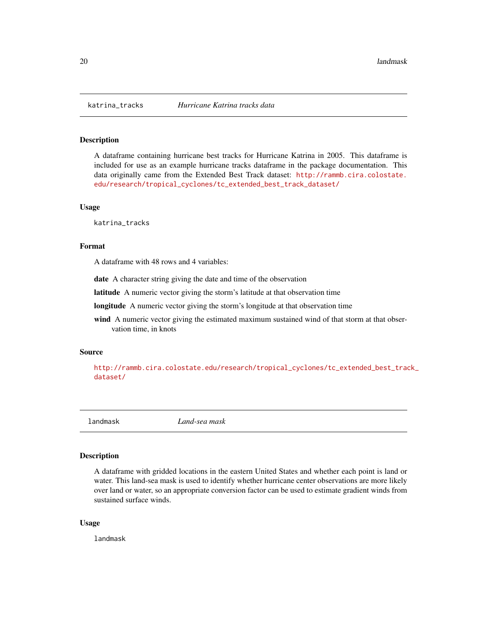<span id="page-19-0"></span>

A dataframe containing hurricane best tracks for Hurricane Katrina in 2005. This dataframe is included for use as an example hurricane tracks dataframe in the package documentation. This data originally came from the Extended Best Track dataset: [http://rammb.cira.colostate.](http://rammb.cira.colostate.edu/research/tropical_cyclones/tc_extended_best_track_dataset/) [edu/research/tropical\\_cyclones/tc\\_extended\\_best\\_track\\_dataset/](http://rammb.cira.colostate.edu/research/tropical_cyclones/tc_extended_best_track_dataset/)

#### Usage

katrina\_tracks

## Format

A dataframe with 48 rows and 4 variables:

date A character string giving the date and time of the observation

latitude A numeric vector giving the storm's latitude at that observation time

longitude A numeric vector giving the storm's longitude at that observation time

wind A numeric vector giving the estimated maximum sustained wind of that storm at that observation time, in knots

#### Source

[http://rammb.cira.colostate.edu/research/tropical\\_cyclones/tc\\_extended\\_best\\_trac](http://rammb.cira.colostate.edu/research/tropical_cyclones/tc_extended_best_track_dataset/)k\_ [dataset/](http://rammb.cira.colostate.edu/research/tropical_cyclones/tc_extended_best_track_dataset/)

<span id="page-19-1"></span>landmask *Land-sea mask*

#### Description

A dataframe with gridded locations in the eastern United States and whether each point is land or water. This land-sea mask is used to identify whether hurricane center observations are more likely over land or water, so an appropriate conversion factor can be used to estimate gradient winds from sustained surface winds.

#### Usage

landmask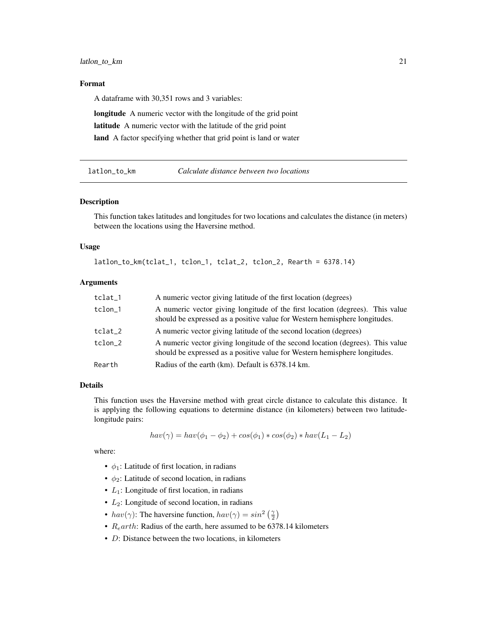## <span id="page-20-0"></span>Format

A dataframe with 30,351 rows and 3 variables:

longitude A numeric vector with the longitude of the grid point latitude A numeric vector with the latitude of the grid point land A factor specifying whether that grid point is land or water

latlon\_to\_km *Calculate distance between two locations*

#### Description

This function takes latitudes and longitudes for two locations and calculates the distance (in meters) between the locations using the Haversine method.

#### Usage

latlon\_to\_km(tclat\_1, tclon\_1, tclat\_2, tclon\_2, Rearth = 6378.14)

#### Arguments

| tclat_1 | A numeric vector giving latitude of the first location (degrees)                                                                                             |
|---------|--------------------------------------------------------------------------------------------------------------------------------------------------------------|
| tclon_1 | A numeric vector giving longitude of the first location (degrees). This value<br>should be expressed as a positive value for Western hemisphere longitudes.  |
| tclat_2 | A numeric vector giving latitude of the second location (degrees)                                                                                            |
| tclon 2 | A numeric vector giving longitude of the second location (degrees). This value<br>should be expressed as a positive value for Western hemisphere longitudes. |
| Rearth  | Radius of the earth (km). Default is 6378.14 km.                                                                                                             |

## Details

This function uses the Haversine method with great circle distance to calculate this distance. It is applying the following equations to determine distance (in kilometers) between two latitudelongitude pairs:

$$
hav(\gamma) = hav(\phi_1 - \phi_2) + cos(\phi_1) * cos(\phi_2) * hav(L_1 - L_2)
$$

where:

- $\phi_1$ : Latitude of first location, in radians
- $\phi_2$ : Latitude of second location, in radians
- $L_1$ : Longitude of first location, in radians
- $\bullet$   $L_2$ : Longitude of second location, in radians
- $hav(\gamma)$ : The haversine function,  $hav(\gamma) = sin^2(\frac{\gamma}{2})$
- $R<sub>e</sub>arth$ : Radius of the earth, here assumed to be 6378.14 kilometers
- D: Distance between the two locations, in kilometers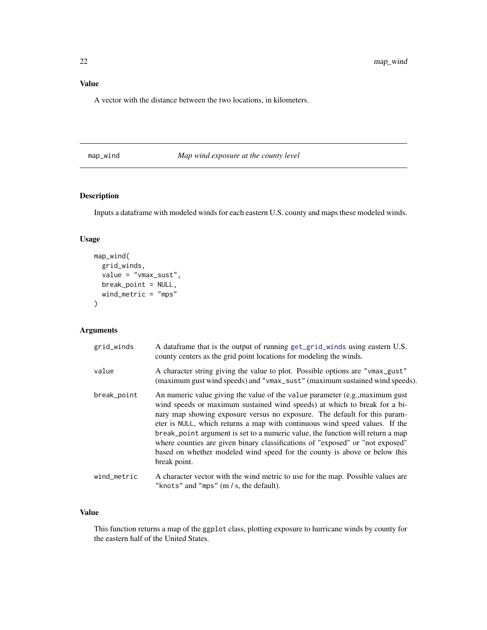## <span id="page-21-0"></span>Value

A vector with the distance between the two locations, in kilometers.

<span id="page-21-1"></span>map\_wind *Map wind exposure at the county level*

## Description

Inputs a dataframe with modeled winds for each eastern U.S. county and maps these modeled winds.

## Usage

```
map_wind(
  grid_winds,
  value = "vmax_sust",
  break_point = NULL,
  wind_metric = "mps"
\mathcal{E}
```
## Arguments

| grid_winds  | A dataframe that is the output of running get_grid_winds using eastern U.S.<br>county centers as the grid point locations for modeling the winds.                                                                                                                                                                                                                                                                                                                                                                                                                                      |
|-------------|----------------------------------------------------------------------------------------------------------------------------------------------------------------------------------------------------------------------------------------------------------------------------------------------------------------------------------------------------------------------------------------------------------------------------------------------------------------------------------------------------------------------------------------------------------------------------------------|
| value       | A character string giving the value to plot. Possible options are "vmax_gust"<br>(maximum gust wind speeds) and "vmax_sust" (maximum sustained wind speeds).                                                                                                                                                                                                                                                                                                                                                                                                                           |
| break_point | An numeric value giving the value of the value parameter (e.g., maximum gust)<br>wind speeds or maximum sustained wind speeds) at which to break for a bi-<br>nary map showing exposure versus no exposure. The default for this param-<br>eter is NULL, which returns a map with continuous wind speed values. If the<br>break_point argument is set to a numeric value, the function will return a map<br>where counties are given binary classifications of "exposed" or "not exposed"<br>based on whether modeled wind speed for the county is above or below this<br>break point. |
| wind_metric | A character vector with the wind metric to use for the map. Possible values are<br>"knots" and "mps" $(m / s,$ the default).                                                                                                                                                                                                                                                                                                                                                                                                                                                           |

## Value

This function returns a map of the ggplot class, plotting exposure to hurricane winds by county for the eastern half of the United States.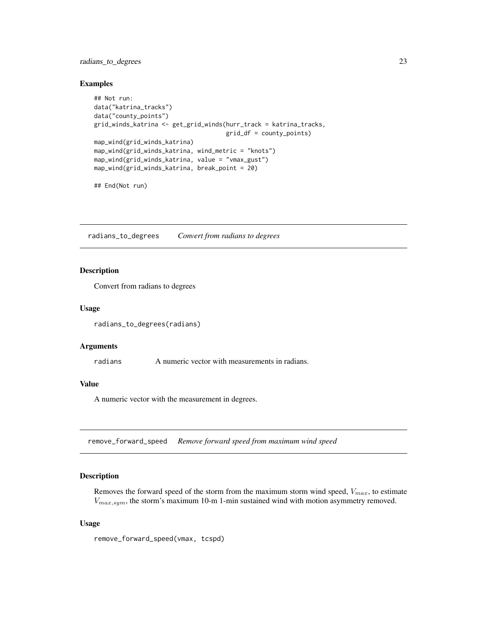## <span id="page-22-0"></span>radians\_to\_degrees 23

#### Examples

```
## Not run:
data("katrina_tracks")
data("county_points")
grid_winds_katrina <- get_grid_winds(hurr_track = katrina_tracks,
                                     grid_df = county_points)
map_wind(grid_winds_katrina)
map_wind(grid_winds_katrina, wind_metric = "knots")
map_wind(grid_winds_katrina, value = "vmax_gust")
map_wind(grid_winds_katrina, break_point = 20)
```
## End(Not run)

radians\_to\_degrees *Convert from radians to degrees*

#### Description

Convert from radians to degrees

#### Usage

radians\_to\_degrees(radians)

#### Arguments

radians A numeric vector with measurements in radians.

#### Value

A numeric vector with the measurement in degrees.

remove\_forward\_speed *Remove forward speed from maximum wind speed*

#### Description

Removes the forward speed of the storm from the maximum storm wind speed,  $V_{max}$ , to estimate  $V_{max,sym}$ , the storm's maximum 10-m 1-min sustained wind with motion asymmetry removed.

#### Usage

remove\_forward\_speed(vmax, tcspd)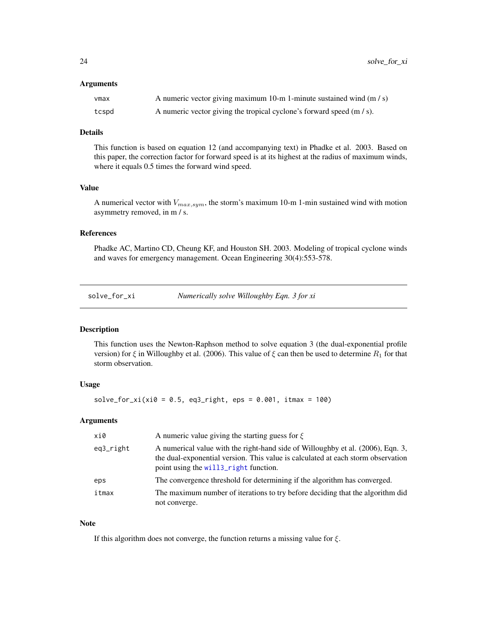#### <span id="page-23-0"></span>Arguments

| vmax  | A numeric vector giving maximum 10-m 1-minute sustained wind $(m/s)$  |
|-------|-----------------------------------------------------------------------|
| tcspd | A numeric vector giving the tropical cyclone's forward speed (m / s). |

#### Details

This function is based on equation 12 (and accompanying text) in Phadke et al. 2003. Based on this paper, the correction factor for forward speed is at its highest at the radius of maximum winds, where it equals 0.5 times the forward wind speed.

## Value

A numerical vector with  $V_{max,sym}$ , the storm's maximum 10-m 1-min sustained wind with motion asymmetry removed, in m / s.

#### References

Phadke AC, Martino CD, Cheung KF, and Houston SH. 2003. Modeling of tropical cyclone winds and waves for emergency management. Ocean Engineering 30(4):553-578.

<span id="page-23-1"></span>solve\_for\_xi *Numerically solve Willoughby Eqn. 3 for xi*

#### Description

This function uses the Newton-Raphson method to solve equation 3 (the dual-exponential profile version) for  $\xi$  in Willoughby et al. (2006). This value of  $\xi$  can then be used to determine  $R_1$  for that storm observation.

## Usage

 $solve_for_xi(xi0 = 0.5, eq3_right,eps = 0.001, itmax = 100)$ 

#### Arguments

| xi0       | A numeric value giving the starting guess for $\xi$                                                                                                                                                                      |
|-----------|--------------------------------------------------------------------------------------------------------------------------------------------------------------------------------------------------------------------------|
| eq3_right | A numerical value with the right-hand side of Willoughby et al. (2006), Eqn. 3,<br>the dual-exponential version. This value is calculated at each storm observation<br>point using the will <sub>3</sub> right function. |
| eps       | The convergence threshold for determining if the algorithm has converged.                                                                                                                                                |
| itmax     | The maximum number of iterations to try before deciding that the algorithm did<br>not converge.                                                                                                                          |

#### Note

If this algorithm does not converge, the function returns a missing value for  $\xi$ .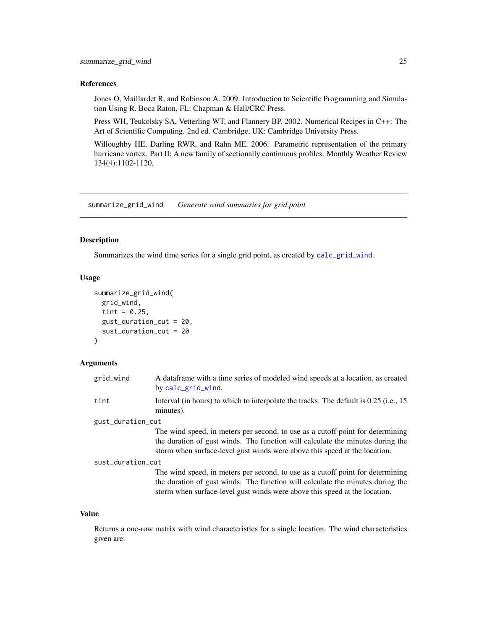#### <span id="page-24-0"></span>References

Jones O, Maillardet R, and Robinson A. 2009. Introduction to Scientific Programming and Simulation Using R. Boca Raton, FL: Chapman & Hall/CRC Press.

Press WH, Teukolsky SA, Vetterling WT, and Flannery BP. 2002. Numerical Recipes in C++: The Art of Scientific Computing. 2nd ed. Cambridge, UK: Cambridge University Press.

Willoughby HE, Darling RWR, and Rahn ME. 2006. Parametric representation of the primary hurricane vortex. Part II: A new family of sectionally continuous profiles. Monthly Weather Review 134(4):1102-1120.

<span id="page-24-1"></span>summarize\_grid\_wind *Generate wind summaries for grid point*

#### Description

Summarizes the wind time series for a single grid point, as created by [calc\\_grid\\_wind](#page-10-1).

#### Usage

```
summarize_grid_wind(
  grid_wind,
  tint = 0.25,
 gust_duration_cut = 20,
  sust_duration_cut = 20
)
```
## Arguments

| grid_wind         | A dataframe with a time series of modeled wind speeds at a location, as created<br>by calc_grid_wind.                                                                                                                                          |  |
|-------------------|------------------------------------------------------------------------------------------------------------------------------------------------------------------------------------------------------------------------------------------------|--|
| tint              | Interval (in hours) to which to interpolate the tracks. The default is 0.25 (i.e., 15<br>minutes).                                                                                                                                             |  |
| gust_duration_cut |                                                                                                                                                                                                                                                |  |
|                   | The wind speed, in meters per second, to use as a cutoff point for determining<br>the duration of gust winds. The function will calculate the minutes during the<br>storm when surface-level gust winds were above this speed at the location. |  |
| sust_duration_cut |                                                                                                                                                                                                                                                |  |
|                   | The wind speed, in meters per second, to use as a cutoff point for determining<br>the duration of gust winds. The function will calculate the minutes during the<br>storm when surface-level gust winds were above this speed at the location. |  |

#### Value

Returns a one-row matrix with wind characteristics for a single location. The wind characteristics given are: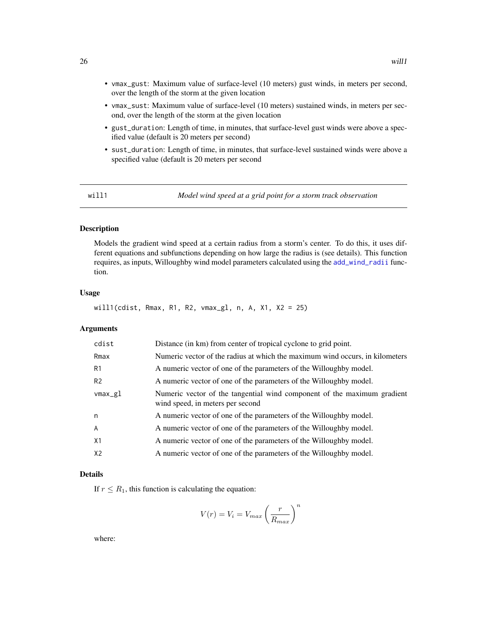- <span id="page-25-0"></span>• vmax\_gust: Maximum value of surface-level (10 meters) gust winds, in meters per second, over the length of the storm at the given location
- vmax\_sust: Maximum value of surface-level (10 meters) sustained winds, in meters per second, over the length of the storm at the given location
- gust\_duration: Length of time, in minutes, that surface-level gust winds were above a specified value (default is 20 meters per second)
- sust\_duration: Length of time, in minutes, that surface-level sustained winds were above a specified value (default is 20 meters per second

will1 *Model wind speed at a grid point for a storm track observation*

## Description

Models the gradient wind speed at a certain radius from a storm's center. To do this, it uses different equations and subfunctions depending on how large the radius is (see details). This function requires, as inputs, Willoughby wind model parameters calculated using the [add\\_wind\\_radii](#page-5-1) function.

## Usage

will1(cdist, Rmax, R1, R2, vmax\_gl, n, A, X1, X2 = 25)

## Arguments

| cdist          | Distance (in km) from center of tropical cyclone to grid point.                                             |
|----------------|-------------------------------------------------------------------------------------------------------------|
| Rmax           | Numeric vector of the radius at which the maximum wind occurs, in kilometers                                |
| R1             | A numeric vector of one of the parameters of the Willoughby model.                                          |
| R <sub>2</sub> | A numeric vector of one of the parameters of the Willoughby model.                                          |
| vmax_gl        | Numeric vector of the tangential wind component of the maximum gradient<br>wind speed, in meters per second |
| n              | A numeric vector of one of the parameters of the Willoughby model.                                          |
| $\overline{A}$ | A numeric vector of one of the parameters of the Willoughby model.                                          |
| X1             | A numeric vector of one of the parameters of the Willoughby model.                                          |
| X2             | A numeric vector of one of the parameters of the Willoughby model.                                          |

## Details

If  $r \leq R_1$ , this function is calculating the equation:

$$
V(r) = V_i = V_{max} \left(\frac{r}{R_{max}}\right)^n
$$

where: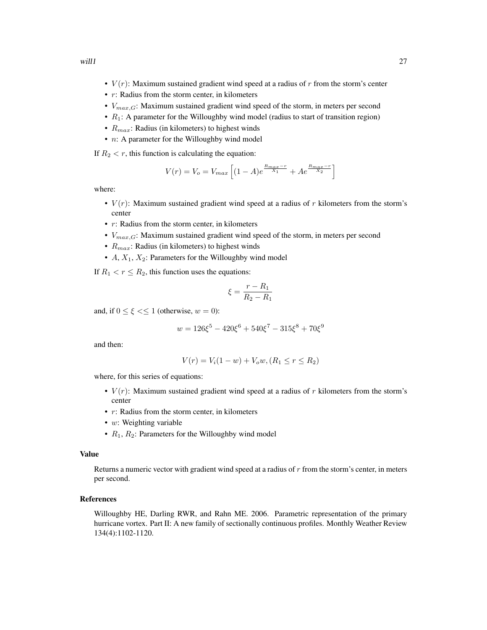- $V(r)$ : Maximum sustained gradient wind speed at a radius of r from the storm's center
- $r$ : Radius from the storm center, in kilometers
- $V_{max,G}$ : Maximum sustained gradient wind speed of the storm, in meters per second
- $R_1$ : A parameter for the Willoughby wind model (radius to start of transition region)
- $R_{max}$ : Radius (in kilometers) to highest winds
- *n*: A parameter for the Willoughby wind model

If  $R_2 < r$ , this function is calculating the equation:

$$
V(r) = V_o = V_{max} \left[ (1 - A)e^{\frac{R_{max} - r}{X_1}} + Ae^{\frac{R_{max} - r}{X_2}} \right]
$$

where:

- $V(r)$ : Maximum sustained gradient wind speed at a radius of r kilometers from the storm's center
- $r$ : Radius from the storm center, in kilometers
- $V_{max,G}$ : Maximum sustained gradient wind speed of the storm, in meters per second
- $R_{max}$ : Radius (in kilometers) to highest winds
- $A, X_1, X_2$ : Parameters for the Willoughby wind model

If  $R_1 < r \leq R_2$ , this function uses the equations:

$$
\xi = \frac{r - R_1}{R_2 - R_1}
$$

and, if  $0 \le \xi \le 1$  (otherwise,  $w = 0$ ):

$$
w = 126\xi^5 - 420\xi^6 + 540\xi^7 - 315\xi^8 + 70\xi^9
$$

and then:

$$
V(r) = V_i(1 - w) + V_0 w, (R_1 \le r \le R_2)
$$

where, for this series of equations:

- $V(r)$ : Maximum sustained gradient wind speed at a radius of r kilometers from the storm's center
- $r$ : Radius from the storm center, in kilometers
- $w$ : Weighting variable
- $R_1$ ,  $R_2$ : Parameters for the Willoughby wind model

## Value

Returns a numeric vector with gradient wind speed at a radius of  $r$  from the storm's center, in meters per second.

#### References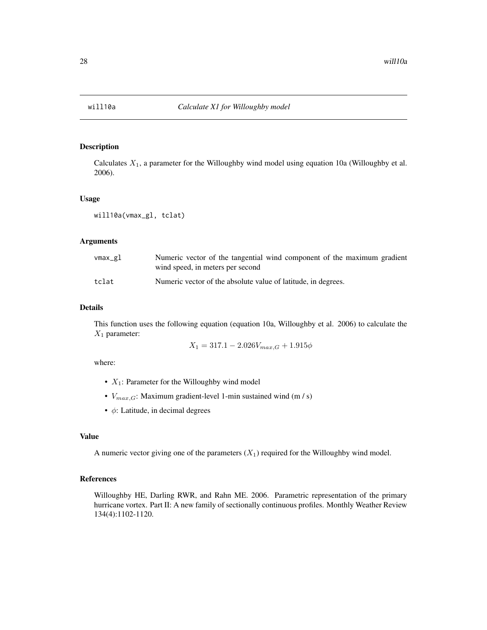<span id="page-27-0"></span>

Calculates  $X_1$ , a parameter for the Willoughby wind model using equation 10a (Willoughby et al. 2006).

## Usage

will10a(vmax\_gl, tclat)

## Arguments

| vmax_gl | Numeric vector of the tangential wind component of the maximum gradient<br>wind speed, in meters per second |
|---------|-------------------------------------------------------------------------------------------------------------|
| tclat   | Numeric vector of the absolute value of latitude, in degrees.                                               |

## Details

This function uses the following equation (equation 10a, Willoughby et al. 2006) to calculate the  $X_1$  parameter:

$$
X_1 = 317.1 - 2.026V_{max,G} + 1.915\phi
$$

where:

- $X_1$ : Parameter for the Willoughby wind model
- $V_{max,G}$ : Maximum gradient-level 1-min sustained wind (m / s)
- $\phi$ : Latitude, in decimal degrees

#### Value

A numeric vector giving one of the parameters  $(X_1)$  required for the Willoughby wind model.

#### References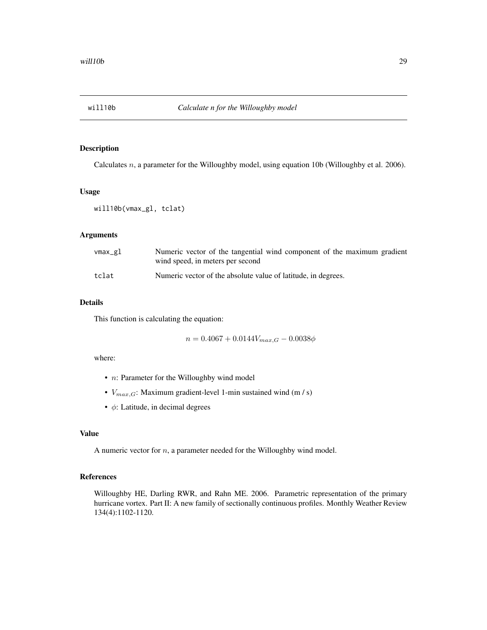<span id="page-28-0"></span>

Calculates n, a parameter for the Willoughby model, using equation 10b (Willoughby et al. 2006).

#### Usage

```
will10b(vmax_gl, tclat)
```
#### Arguments

| vmax_gl | Numeric vector of the tangential wind component of the maximum gradient<br>wind speed, in meters per second |
|---------|-------------------------------------------------------------------------------------------------------------|
| tclat   | Numeric vector of the absolute value of latitude, in degrees.                                               |

## Details

This function is calculating the equation:

 $n = 0.4067 + 0.0144V_{max,G} - 0.0038\phi$ 

where:

- *n*: Parameter for the Willoughby wind model
- $V_{max,G}$ : Maximum gradient-level 1-min sustained wind (m / s)
- $\bullet$   $\phi$ : Latitude, in decimal degrees

## Value

A numeric vector for  $n$ , a parameter needed for the Willoughby wind model.

## References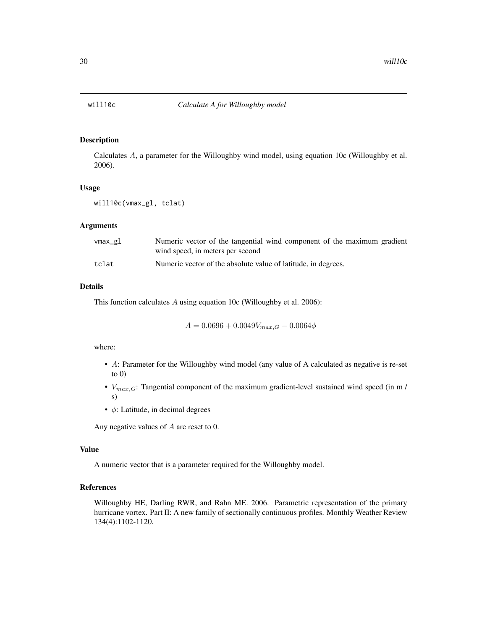<span id="page-29-0"></span>

Calculates A, a parameter for the Willoughby wind model, using equation 10c (Willoughby et al. 2006).

## Usage

will10c(vmax\_gl, tclat)

#### Arguments

| vmax_gl | Numeric vector of the tangential wind component of the maximum gradient<br>wind speed, in meters per second |
|---------|-------------------------------------------------------------------------------------------------------------|
| tclat   | Numeric vector of the absolute value of latitude, in degrees.                                               |

## Details

This function calculates A using equation 10c (Willoughby et al. 2006):

$$
A = 0.0696 + 0.0049V_{max,G} - 0.0064\phi
$$

## where:

- A: Parameter for the Willoughby wind model (any value of A calculated as negative is re-set to  $0)$
- $V_{max,G}$ : Tangential component of the maximum gradient-level sustained wind speed (in m / s)
- $\bullet$   $\phi$ : Latitude, in decimal degrees

Any negative values of A are reset to 0.

#### Value

A numeric vector that is a parameter required for the Willoughby model.

## References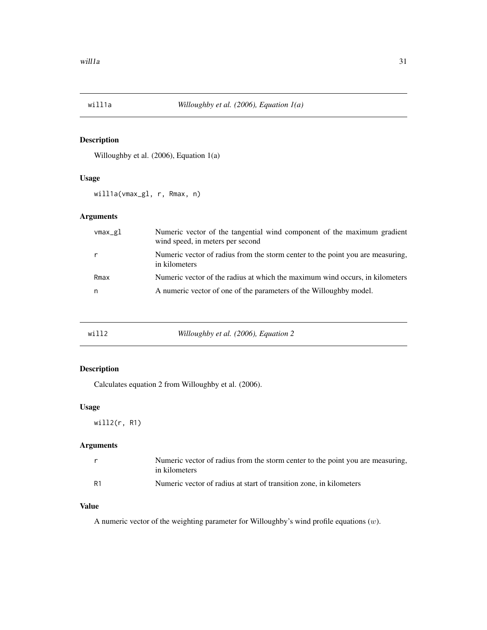<span id="page-30-0"></span>

Willoughby et al. (2006), Equation 1(a)

## Usage

will1a(vmax\_gl, r, Rmax, n)

## Arguments

| vmax_gl | Numeric vector of the tangential wind component of the maximum gradient<br>wind speed, in meters per second |
|---------|-------------------------------------------------------------------------------------------------------------|
|         | Numeric vector of radius from the storm center to the point you are measuring,<br>in kilometers             |
| Rmax    | Numeric vector of the radius at which the maximum wind occurs, in kilometers                                |
| n       | A numeric vector of one of the parameters of the Willoughby model.                                          |

| will2 |  | Willoughby et al. (2006), Equation 2 |
|-------|--|--------------------------------------|
|-------|--|--------------------------------------|

## Description

Calculates equation 2 from Willoughby et al. (2006).

## Usage

will2(r, R1)

## Arguments

|                | Numeric vector of radius from the storm center to the point you are measuring, |
|----------------|--------------------------------------------------------------------------------|
|                | in kilometers                                                                  |
| R <sub>1</sub> | Numeric vector of radius at start of transition zone, in kilometers            |

## Value

A numeric vector of the weighting parameter for Willoughby's wind profile equations  $(w)$ .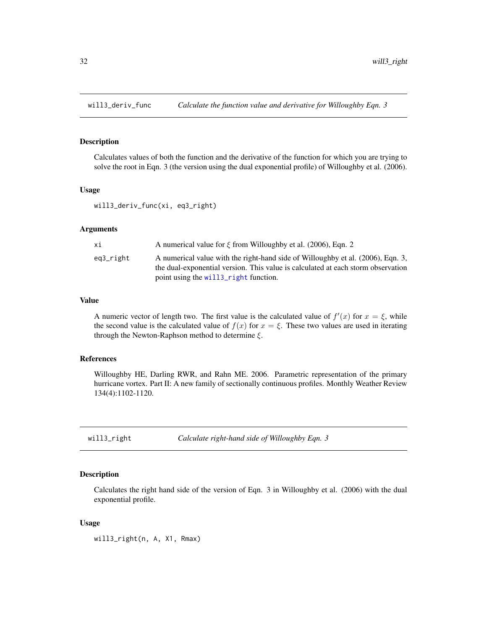<span id="page-31-0"></span>

Calculates values of both the function and the derivative of the function for which you are trying to solve the root in Eqn. 3 (the version using the dual exponential profile) of Willoughby et al. (2006).

#### Usage

will3\_deriv\_func(xi, eq3\_right)

#### Arguments

| хi        | A numerical value for $\xi$ from Willoughby et al. (2006), Eqn. 2                                                                                                   |
|-----------|---------------------------------------------------------------------------------------------------------------------------------------------------------------------|
| eq3_right | A numerical value with the right-hand side of Willoughby et al. (2006), Eqn. 3,<br>the dual-exponential version. This value is calculated at each storm observation |
|           | point using the will <sub>3</sub> _right function.                                                                                                                  |

#### Value

A numeric vector of length two. The first value is the calculated value of  $f'(x)$  for  $x = \xi$ , while the second value is the calculated value of  $f(x)$  for  $x = \xi$ . These two values are used in iterating through the Newton-Raphson method to determine  $\xi$ .

## References

Willoughby HE, Darling RWR, and Rahn ME. 2006. Parametric representation of the primary hurricane vortex. Part II: A new family of sectionally continuous profiles. Monthly Weather Review 134(4):1102-1120.

<span id="page-31-1"></span>will3\_right *Calculate right-hand side of Willoughby Eqn. 3*

#### Description

Calculates the right hand side of the version of Eqn. 3 in Willoughby et al. (2006) with the dual exponential profile.

#### Usage

will3\_right(n, A, X1, Rmax)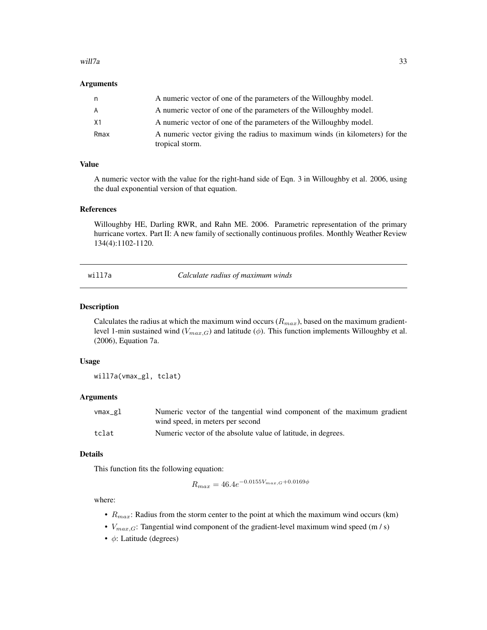#### <span id="page-32-0"></span>will7a 33

#### Arguments

| n    | A numeric vector of one of the parameters of the Willoughby model.                             |
|------|------------------------------------------------------------------------------------------------|
| A    | A numeric vector of one of the parameters of the Willoughby model.                             |
| X1   | A numeric vector of one of the parameters of the Willoughby model.                             |
| Rmax | A numeric vector giving the radius to maximum winds (in kilometers) for the<br>tropical storm. |

#### Value

A numeric vector with the value for the right-hand side of Eqn. 3 in Willoughby et al. 2006, using the dual exponential version of that equation.

## References

Willoughby HE, Darling RWR, and Rahn ME. 2006. Parametric representation of the primary hurricane vortex. Part II: A new family of sectionally continuous profiles. Monthly Weather Review 134(4):1102-1120.

will7a *Calculate radius of maximum winds*

## Description

Calculates the radius at which the maximum wind occurs  $(R_{max})$ , based on the maximum gradientlevel 1-min sustained wind ( $V_{max,G}$ ) and latitude ( $\phi$ ). This function implements Willoughby et al. (2006), Equation 7a.

#### Usage

will7a(vmax\_gl, tclat)

## Arguments

| vmax_gl | Numeric vector of the tangential wind component of the maximum gradient |
|---------|-------------------------------------------------------------------------|
|         | wind speed, in meters per second                                        |
| tclat   | Numeric vector of the absolute value of latitude, in degrees.           |

#### Details

This function fits the following equation:

 $R_{max} = 46.4e^{-0.0155V_{max,G}+0.0169\phi}$ 

#### where:

- $R_{max}$ : Radius from the storm center to the point at which the maximum wind occurs (km)
- $V_{max,G}$ : Tangential wind component of the gradient-level maximum wind speed (m / s)
- $\bullet$   $\phi$ : Latitude (degrees)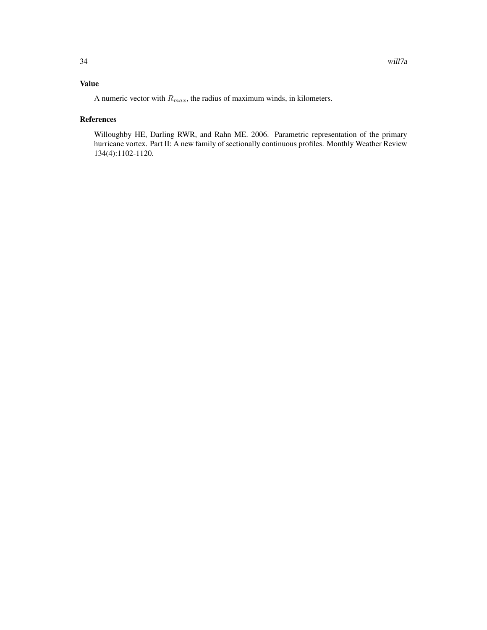## Value

A numeric vector with  $R_{max}$ , the radius of maximum winds, in kilometers.

## References